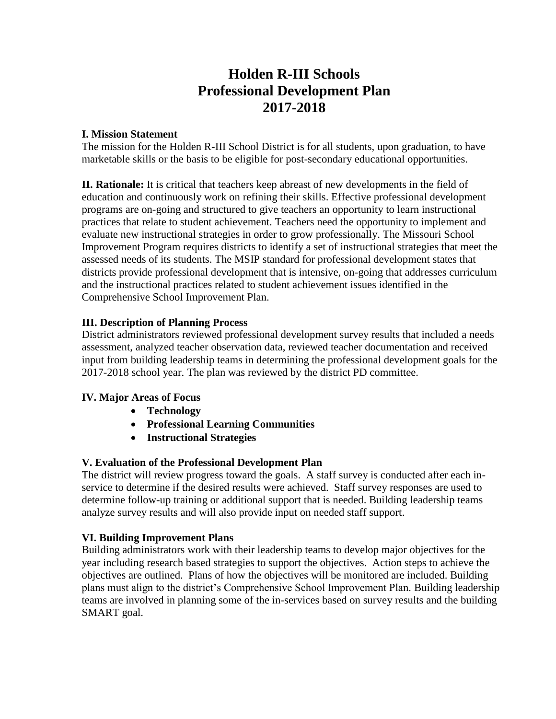# **Holden R-III Schools Professional Development Plan 2017-2018**

### **I. Mission Statement**

The mission for the Holden R-III School District is for all students, upon graduation, to have marketable skills or the basis to be eligible for post-secondary educational opportunities.

**II. Rationale:** It is critical that teachers keep abreast of new developments in the field of education and continuously work on refining their skills. Effective professional development programs are on-going and structured to give teachers an opportunity to learn instructional practices that relate to student achievement. Teachers need the opportunity to implement and evaluate new instructional strategies in order to grow professionally. The Missouri School Improvement Program requires districts to identify a set of instructional strategies that meet the assessed needs of its students. The MSIP standard for professional development states that districts provide professional development that is intensive, on-going that addresses curriculum and the instructional practices related to student achievement issues identified in the Comprehensive School Improvement Plan.

# **III. Description of Planning Process**

District administrators reviewed professional development survey results that included a needs assessment, analyzed teacher observation data, reviewed teacher documentation and received input from building leadership teams in determining the professional development goals for the 2017-2018 school year. The plan was reviewed by the district PD committee.

# **IV. Major Areas of Focus**

- **Technology**
- **Professional Learning Communities**
- **Instructional Strategies**

# **V. Evaluation of the Professional Development Plan**

The district will review progress toward the goals. A staff survey is conducted after each inservice to determine if the desired results were achieved. Staff survey responses are used to determine follow-up training or additional support that is needed. Building leadership teams analyze survey results and will also provide input on needed staff support.

# **VI. Building Improvement Plans**

Building administrators work with their leadership teams to develop major objectives for the year including research based strategies to support the objectives. Action steps to achieve the objectives are outlined. Plans of how the objectives will be monitored are included. Building plans must align to the district's Comprehensive School Improvement Plan. Building leadership teams are involved in planning some of the in-services based on survey results and the building SMART goal.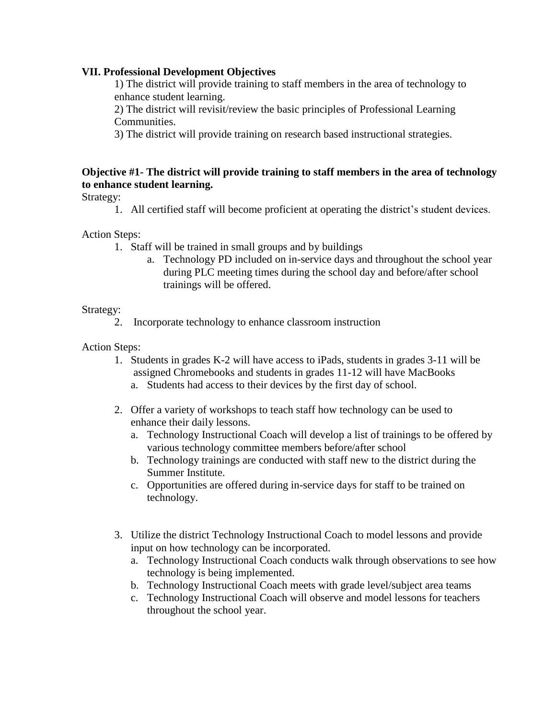### **VII. Professional Development Objectives**

1) The district will provide training to staff members in the area of technology to enhance student learning.

2) The district will revisit/review the basic principles of Professional Learning Communities.

3) The district will provide training on research based instructional strategies.

# **Objective #1- The district will provide training to staff members in the area of technology to enhance student learning.**

Strategy:

1. All certified staff will become proficient at operating the district's student devices.

Action Steps:

- 1. Staff will be trained in small groups and by buildings
	- a. Technology PD included on in-service days and throughout the school year during PLC meeting times during the school day and before/after school trainings will be offered.

### Strategy:

2. Incorporate technology to enhance classroom instruction

Action Steps:

- 1. Students in grades K-2 will have access to iPads, students in grades 3-11 will be assigned Chromebooks and students in grades 11-12 will have MacBooks a. Students had access to their devices by the first day of school.
- 2. Offer a variety of workshops to teach staff how technology can be used to enhance their daily lessons.
	- a. Technology Instructional Coach will develop a list of trainings to be offered by various technology committee members before/after school
	- b. Technology trainings are conducted with staff new to the district during the Summer Institute.
	- c. Opportunities are offered during in-service days for staff to be trained on technology.
- 3. Utilize the district Technology Instructional Coach to model lessons and provide input on how technology can be incorporated.
	- a. Technology Instructional Coach conducts walk through observations to see how technology is being implemented.
	- b. Technology Instructional Coach meets with grade level/subject area teams
	- c. Technology Instructional Coach will observe and model lessons for teachers throughout the school year.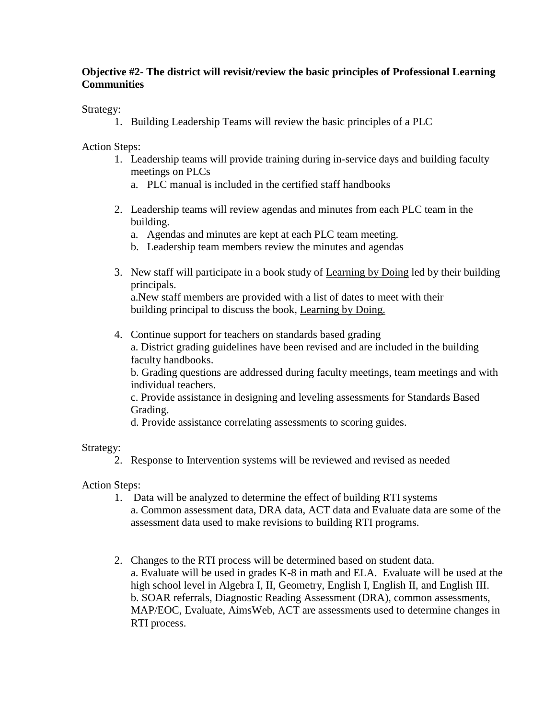# **Objective #2- The district will revisit/review the basic principles of Professional Learning Communities**

Strategy:

1. Building Leadership Teams will review the basic principles of a PLC

Action Steps:

- 1. Leadership teams will provide training during in-service days and building faculty meetings on PLCs
	- a. PLC manual is included in the certified staff handbooks
- 2. Leadership teams will review agendas and minutes from each PLC team in the building.
	- a. Agendas and minutes are kept at each PLC team meeting.
	- b. Leadership team members review the minutes and agendas
- 3. New staff will participate in a book study of Learning by Doing led by their building principals.

 a.New staff members are provided with a list of dates to meet with their building principal to discuss the book, Learning by Doing.

4. Continue support for teachers on standards based grading a. District grading guidelines have been revised and are included in the building faculty handbooks.

b. Grading questions are addressed during faculty meetings, team meetings and with individual teachers.

c. Provide assistance in designing and leveling assessments for Standards Based Grading.

d. Provide assistance correlating assessments to scoring guides.

Strategy:

2. Response to Intervention systems will be reviewed and revised as needed

# Action Steps:

- 1. Data will be analyzed to determine the effect of building RTI systems a. Common assessment data, DRA data, ACT data and Evaluate data are some of the assessment data used to make revisions to building RTI programs.
- 2. Changes to the RTI process will be determined based on student data. a. Evaluate will be used in grades K-8 in math and ELA. Evaluate will be used at the high school level in Algebra I, II, Geometry, English I, English II, and English III. b. SOAR referrals, Diagnostic Reading Assessment (DRA), common assessments, MAP/EOC, Evaluate, AimsWeb, ACT are assessments used to determine changes in RTI process.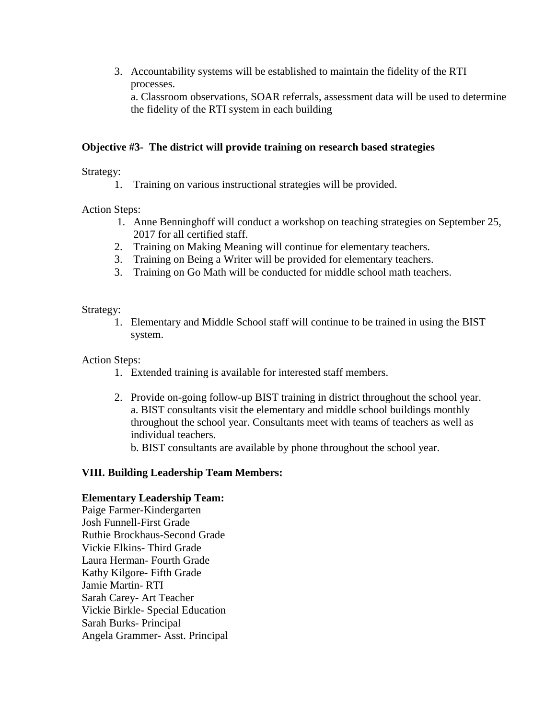3. Accountability systems will be established to maintain the fidelity of the RTI processes. a. Classroom observations, SOAR referrals, assessment data will be used to determine the fidelity of the RTI system in each building

### **Objective #3- The district will provide training on research based strategies**

Strategy:

1. Training on various instructional strategies will be provided.

Action Steps:

- 1. Anne Benninghoff will conduct a workshop on teaching strategies on September 25, 2017 for all certified staff.
- 2. Training on Making Meaning will continue for elementary teachers.
- 3. Training on Being a Writer will be provided for elementary teachers.
- 3. Training on Go Math will be conducted for middle school math teachers.

Strategy:

1. Elementary and Middle School staff will continue to be trained in using the BIST system.

Action Steps:

- 1. Extended training is available for interested staff members.
- 2. Provide on-going follow-up BIST training in district throughout the school year. a. BIST consultants visit the elementary and middle school buildings monthly throughout the school year. Consultants meet with teams of teachers as well as individual teachers.

b. BIST consultants are available by phone throughout the school year.

#### **VIII. Building Leadership Team Members:**

#### **Elementary Leadership Team:**

Paige Farmer-Kindergarten Josh Funnell-First Grade Ruthie Brockhaus-Second Grade Vickie Elkins- Third Grade Laura Herman- Fourth Grade Kathy Kilgore- Fifth Grade Jamie Martin- RTI Sarah Carey- Art Teacher Vickie Birkle- Special Education Sarah Burks- Principal Angela Grammer- Asst. Principal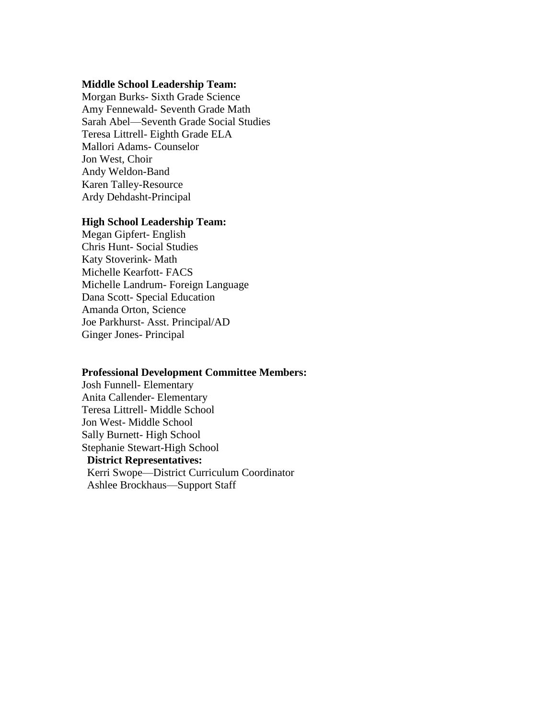#### **Middle School Leadership Team:**

Morgan Burks- Sixth Grade Science Amy Fennewald- Seventh Grade Math Sarah Abel—Seventh Grade Social Studies Teresa Littrell- Eighth Grade ELA Mallori Adams- Counselor Jon West, Choir Andy Weldon-Band Karen Talley-Resource Ardy Dehdasht-Principal

#### **High School Leadership Team:**

Megan Gipfert- English Chris Hunt- Social Studies Katy Stoverink- Math Michelle Kearfott- FACS Michelle Landrum- Foreign Language Dana Scott- Special Education Amanda Orton, Science Joe Parkhurst- Asst. Principal/AD Ginger Jones- Principal

#### **Professional Development Committee Members:**

Josh Funnell- Elementary Anita Callender- Elementary Teresa Littrell- Middle School Jon West- Middle School Sally Burnett- High School Stephanie Stewart-High School  **District Representatives:** Kerri Swope—District Curriculum Coordinator Ashlee Brockhaus—Support Staff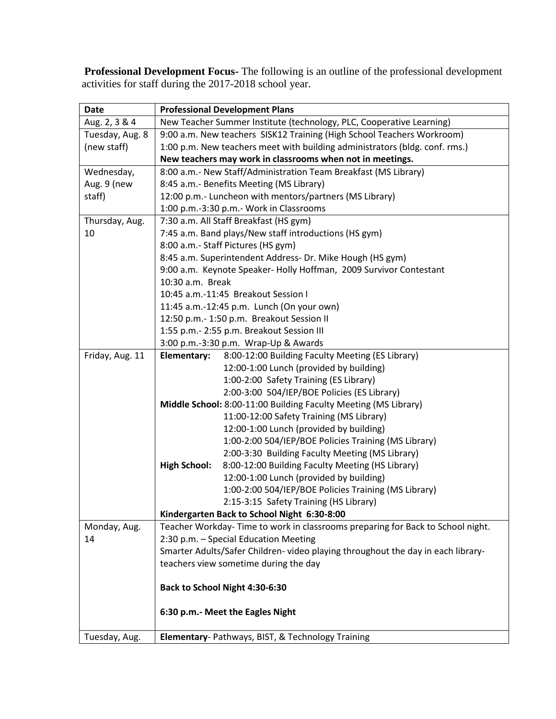**Professional Development Focus-** The following is an outline of the professional development activities for staff during the 2017-2018 school year.

| <b>Date</b>     | <b>Professional Development Plans</b>                                            |
|-----------------|----------------------------------------------------------------------------------|
| Aug. 2, 3 & 4   | New Teacher Summer Institute (technology, PLC, Cooperative Learning)             |
| Tuesday, Aug. 8 | 9:00 a.m. New teachers SISK12 Training (High School Teachers Workroom)           |
| (new staff)     | 1:00 p.m. New teachers meet with building administrators (bldg. conf. rms.)      |
|                 | New teachers may work in classrooms when not in meetings.                        |
| Wednesday,      | 8:00 a.m.- New Staff/Administration Team Breakfast (MS Library)                  |
| Aug. 9 (new     | 8:45 a.m.- Benefits Meeting (MS Library)                                         |
| staff)          | 12:00 p.m.- Luncheon with mentors/partners (MS Library)                          |
|                 | 1:00 p.m.-3:30 p.m.- Work in Classrooms                                          |
| Thursday, Aug.  | 7:30 a.m. All Staff Breakfast (HS gym)                                           |
| 10              | 7:45 a.m. Band plays/New staff introductions (HS gym)                            |
|                 | 8:00 a.m.- Staff Pictures (HS gym)                                               |
|                 | 8:45 a.m. Superintendent Address- Dr. Mike Hough (HS gym)                        |
|                 | 9:00 a.m. Keynote Speaker- Holly Hoffman, 2009 Survivor Contestant               |
|                 | 10:30 a.m. Break                                                                 |
|                 | 10:45 a.m.-11:45 Breakout Session I                                              |
|                 | 11:45 a.m.-12:45 p.m. Lunch (On your own)                                        |
|                 | 12:50 p.m.- 1:50 p.m. Breakout Session II                                        |
|                 | 1:55 p.m.- 2:55 p.m. Breakout Session III                                        |
|                 | 3:00 p.m.-3:30 p.m. Wrap-Up & Awards                                             |
| Friday, Aug. 11 | Elementary:<br>8:00-12:00 Building Faculty Meeting (ES Library)                  |
|                 | 12:00-1:00 Lunch (provided by building)                                          |
|                 | 1:00-2:00 Safety Training (ES Library)                                           |
|                 | 2:00-3:00 504/IEP/BOE Policies (ES Library)                                      |
|                 | Middle School: 8:00-11:00 Building Faculty Meeting (MS Library)                  |
|                 | 11:00-12:00 Safety Training (MS Library)                                         |
|                 | 12:00-1:00 Lunch (provided by building)                                          |
|                 | 1:00-2:00 504/IEP/BOE Policies Training (MS Library)                             |
|                 | 2:00-3:30 Building Faculty Meeting (MS Library)                                  |
|                 | 8:00-12:00 Building Faculty Meeting (HS Library)<br><b>High School:</b>          |
|                 | 12:00-1:00 Lunch (provided by building)                                          |
|                 | 1:00-2:00 504/IEP/BOE Policies Training (MS Library)                             |
|                 | 2:15-3:15 Safety Training (HS Library)                                           |
|                 | Kindergarten Back to School Night 6:30-8:00                                      |
| Monday, Aug.    | Teacher Workday-Time to work in classrooms preparing for Back to School night.   |
| 14              | 2:30 p.m. - Special Education Meeting                                            |
|                 | Smarter Adults/Safer Children- video playing throughout the day in each library- |
|                 | teachers view sometime during the day                                            |
|                 |                                                                                  |
|                 | Back to School Night 4:30-6:30                                                   |
|                 |                                                                                  |
|                 | 6:30 p.m.- Meet the Eagles Night                                                 |
| Tuesday, Aug.   | Elementary- Pathways, BIST, & Technology Training                                |